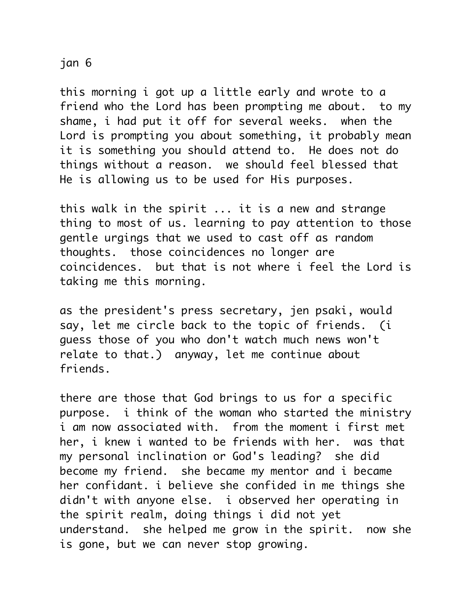## jan 6

this morning i got up a little early and wrote to a friend who the Lord has been prompting me about. to my shame, i had put it off for several weeks. when the Lord is prompting you about something, it probably mean it is something you should attend to. He does not do things without a reason. we should feel blessed that He is allowing us to be used for His purposes.

this walk in the spirit ... it is a new and strange thing to most of us. learning to pay attention to those gentle urgings that we used to cast off as random thoughts. those coincidences no longer are coincidences. but that is not where i feel the Lord is taking me this morning.

as the president's press secretary, jen psaki, would say, let me circle back to the topic of friends. (i guess those of you who don't watch much news won't relate to that.) anyway, let me continue about friends.

there are those that God brings to us for a specific purpose. i think of the woman who started the ministry i am now associated with. from the moment i first met her, i knew i wanted to be friends with her. was that my personal inclination or God's leading? she did become my friend. she became my mentor and i became her confidant. i believe she confided in me things she didn't with anyone else. i observed her operating in the spirit realm, doing things i did not yet understand. she helped me grow in the spirit. now she is gone, but we can never stop growing.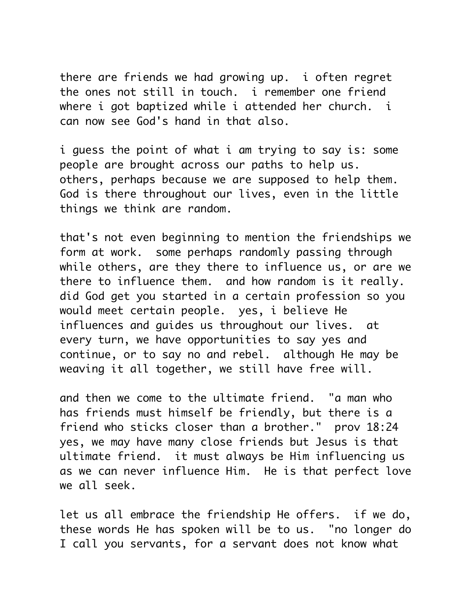there are friends we had growing up. i often regret the ones not still in touch. i remember one friend where i got baptized while i attended her church. i can now see God's hand in that also.

i guess the point of what i am trying to say is: some people are brought across our paths to help us. others, perhaps because we are supposed to help them. God is there throughout our lives, even in the little things we think are random.

that's not even beginning to mention the friendships we form at work. some perhaps randomly passing through while others, are they there to influence us, or are we there to influence them. and how random is it really. did God get you started in a certain profession so you would meet certain people. yes, i believe He influences and guides us throughout our lives. at every turn, we have opportunities to say yes and continue, or to say no and rebel. although He may be weaving it all together, we still have free will.

and then we come to the ultimate friend. "a man who has friends must himself be friendly, but there is a friend who sticks closer than a brother." prov 18:24 yes, we may have many close friends but Jesus is that ultimate friend. it must always be Him influencing us as we can never influence Him. He is that perfect love we all seek.

let us all embrace the friendship He offers. if we do, these words He has spoken will be to us. "no longer do I call you servants, for a servant does not know what